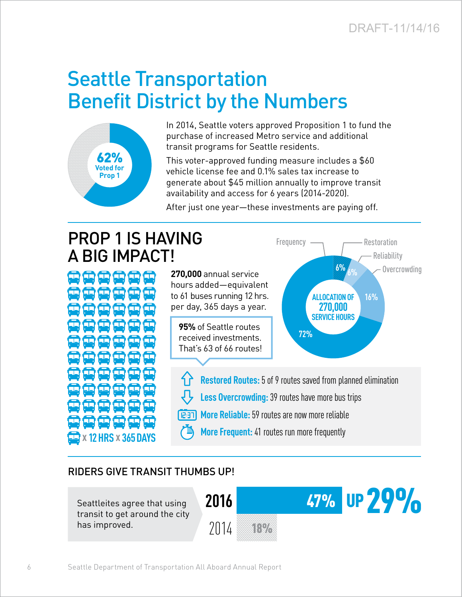Reliability

**6%** o<sub>k</sub> Overcrowding

**16%**

# Seattle Transportation Benefit District by the Numbers



In 2014, Seattle voters approved Proposition 1 to fund the purchase of increased Metro service and additional transit programs for Seattle residents.

This voter-approved funding measure includes a \$60 vehicle license fee and 0.1% sales tax increase to generate about \$45 million annually to improve transit availability and access for 6 years (2014-2020).

After just one year—these investments are paying off.

## PROP 1 IS HAVING A BIG IMPACT!

**270,000** annual service hours added—equivalent to 61 buses running 12 hrs. per day, 365 days a year.

**95%** of Seattle routes received investments. That's 63 of 66 routes!

**Restored Routes:**5 of 9 routes saved from planned elimination

**72%**

**ALLOCATION OF 270,000 SERVICE HOURS**

Frequency — Restoration

- **Less Overcrowding:**39 routes have more bus trips
- **More Reliable:**59 routes are now more reliable **TE:51** 
	- **More Frequent:**41 routes run more frequently

#### RIDERS GIVE TRANSIT THUMBS UP!

Seattleites agree that using transit to get around the city has improved.

**x 12HRS x 365DAYS**